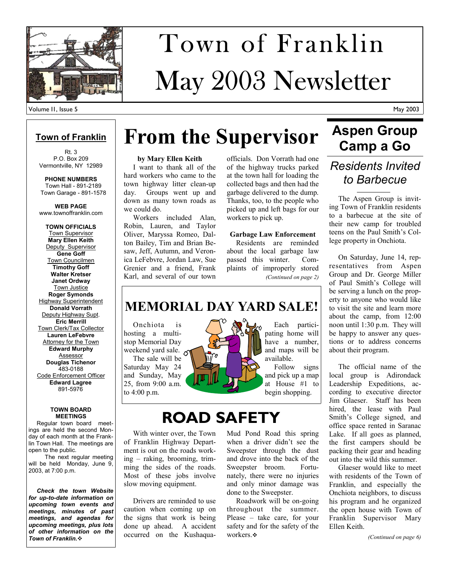

# May 2003 Newsletter Town of Franklin

### **Town of Franklin**

Rt. 3 P.O. Box 209 Vermontville, NY 12989

**PHONE NUMBERS**  Town Hall - 891-2189 Town Garage - 891-1578

**WEB PAGE**  www.townoffranklin.com

**TOWN OFFICIALS**  Town Supervisor **Mary Ellen Keith**  Deputy Supervisor **Gene Goff**  Town Councilmen **Timothy Goff Walter Kretser Janet Ordway**  Town Justice **Roger Symonds**  Highway Superintendent **Donald Vorrath**  Deputy Highway Supt. **Eric Merrill**  Town Clerk/Tax Collector **Lauren LeFebvre**  Attorney for the Town **Edward Murphy**  Assessor **Douglas Tichenor**  483-0188 Code Enforcement Officer **Edward Lagree**  891-5976

#### **TOWN BOARD MEETINGS**

 Regular town board meetings are held the second Monday of each month at the Franklin Town Hall. The meetings are open to the public.

 The next regular meeting will be held Monday, June 9, 2003, at 7:00 p.m.

 *Check the town Website for up-to-date information on upcoming town events and meetings, minutes of past meetings, and agendas for upcoming meetings, plus lots of other information on the Town of Franklin.*

# **From the Supervisor Aspen Group**

### **by Mary Ellen Keith**

 I want to thank all of the hard workers who came to the town highway litter clean-up day. Groups went up and down as many town roads as we could do.

 Workers included Alan, Robin, Lauren, and Taylor Oliver, Maryssa Romeo, Dalton Bailey, Tim and Brian Besaw, Jeff, Autumn, and Veronica LeFebvre, Jordan Law, Sue Grenier and a friend, Frank Karl, and several of our town

officials. Don Vorrath had one of the highway trucks parked at the town hall for loading the collected bags and then had the garbage delivered to the dump. Thanks, too, to the people who picked up and left bags for our workers to pick up.

### **Garbage Law Enforcement**

 Residents are reminded about the local garbage law passed this winter. Complaints of improperly stored *(Continued on page 2)* 

### **MEMORIAL DAY YARD SALE!**

 Onchiota is hosting a multistop Memorial Day weekend yard sale.  $\sigma$ The sale will be

Saturday May 24 and Sunday, May 25, from 9:00 a.m. to 4:00 p.m.

 Each participating home will have a number, and maps will be available.

 Follow signs and pick up a map at House #1 to begin shopping.

## **ROAD SAFETY**

 With winter over, the Town of Franklin Highway Department is out on the roads working – raking, brooming, trimming the sides of the roads. Most of these jobs involve slow moving equipment.

 Drivers are reminded to use caution when coming up on the signs that work is being done up ahead. A accident occurred on the KushaquaMud Pond Road this spring when a driver didn't see the Sweepster through the dust and drove into the back of the Sweepster broom. Fortunately, there were no injuries and only minor damage was done to the Sweepster.

 Roadwork will be on-going throughout the summer. Please – take care, for your safety and for the safety of the workers.  $\cdot\cdot$ 

# **Aspen Group**

### *Residents Invited to Barbecue*

 The Aspen Group is inviting Town of Franklin residents to a barbecue at the site of their new camp for troubled teens on the Paul Smith's College property in Onchiota.

 On Saturday, June 14, representatives from Aspen Group and Dr. George Miller of Paul Smith's College will be serving a lunch on the property to anyone who would like to visit the site and learn more about the camp, from 12:00 noon until 1:30 p.m. They will be happy to answer any questions or to address concerns about their program.

 The official name of the local group is Adirondack Leadership Expeditions, according to executive director Jim Glaeser. Staff has been hired, the lease with Paul Smith's College signed, and office space rented in Saranac Lake. If all goes as planned, the first campers should be packing their gear and heading out into the wild this summer.

 Glaeser would like to meet with residents of the Town of Franklin, and especially the Onchiota neighbors, to discuss his program and he organized the open house with Town of Franklin Supervisor Mary Ellen Keith.

*(Continued on page 6)*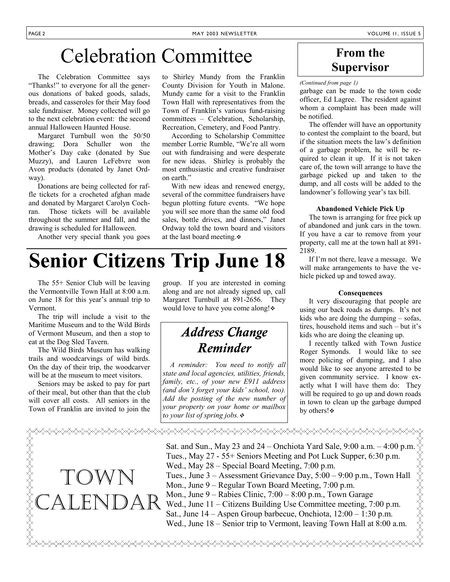## Celebration Committee

 The Celebration Committee says "Thanks!" to everyone for all the generous donations of baked goods, salads, breads, and casseroles for their May food sale fundraiser. Money collected will go to the next celebration event: the second annual Halloween Haunted House.

 Margaret Turnbull won the 50/50 drawing; Dora Schuller won the Mother's Day cake (donated by Sue Muzzy), and Lauren LeFebvre won Avon products (donated by Janet Ordway).

 Donations are being collected for raffle tickets for a crocheted afghan made and donated by Margaret Carolyn Cochran. Those tickets will be available throughout the summer and fall, and the drawing is scheduled for Halloween.

Another very special thank you goes

to Shirley Mundy from the Franklin County Division for Youth in Malone. Mundy came for a visit to the Franklin Town Hall with representatives from the Town of Franklin's various fund-raising committees – Celebration, Scholarship, Recreation, Cemetery, and Food Pantry.

 According to Scholarship Committee member Lorrie Rumble, "We're all worn out with fundraising and were desperate for new ideas. Shirley is probably the most enthusiastic and creative fundraiser on earth."

 With new ideas and renewed energy, several of the committee fundraisers have begun plotting future events. "We hope you will see more than the same old food sales, bottle drives, and dinners," Janet Ordway told the town board and visitors at the last board meeting.

## **Senior Citizens Trip June 18**

 The 55+ Senior Club will be leaving the Vermontville Town Hall at 8:00 a.m. on June 18 for this year's annual trip to Vermont.

 The trip will include a visit to the Maritime Museum and to the Wild Birds of Vermont Museum, and then a stop to eat at the Dog Sled Tavern.

 The Wild Birds Museum has walking trails and woodcarvings of wild birds. On the day of their trip, the woodcarver will be at the museum to meet visitors.

 Seniors may be asked to pay for part of their meal, but other than that the club will cover all costs. All seniors in the Town of Franklin are invited to join the

TOWN

**LARKARAKARAKARAKARAK** 



## *Address Change Reminder*

 *A reminder: You need to notify all state and local agencies, utilities, friends, family, etc., of your new E911 address (and don't forget your kids' school, too). Add the posting of the new number of your property on your home or mailbox to your list of spring jobs.*

<del></del>

### **From the Supervisor**

garbage can be made to the town code officer, Ed Lagree. The resident against whom a complaint has been made will be notified.

 The offender will have an opportunity to contest the complaint to the board, but if the situation meets the law's definition of a garbage problem, he will be required to clean it up. If it is not taken care of, the town will arrange to have the garbage picked up and taken to the dump, and all costs will be added to the landowner's following year's tax bill.

#### **Abandoned Vehicle Pick Up**

 The town is arranging for free pick up of abandoned and junk cars in the town. If you have a car to remove from your property, call me at the town hall at 891- 2189.

 If I'm not there, leave a message. We will make arrangements to have the vehicle picked up and towed away.

### **Consequences**

 It very discouraging that people are using our back roads as dumps. It's not kids who are doing the dumping – sofas, tires, household items and such – but it's kids who are doing the cleaning up.

 I recently talked with Town Justice Roger Symonds. I would like to see more policing of dumping, and I also would like to see anyone arrested to be given community service. I know exactly what I will have them do: They will be required to go up and down roads in town to clean up the garbage dumped by others! ❖

Sat. and Sun., May 23 and 24 – Onchiota Yard Sale, 9:00 a.m. – 4:00 p.m.  $\&$ Tues., May 27 - 55+ Seniors Meeting and Pot Luck Supper, 6:30 p.m. Wed., May 28 – Special Board Meeting, 7:00 p.m. Tues., June 3 – Assessment Gr Tues., May 27 - 55+ Seniors Meeting and Pot Luck Supper, 6:30 p.m. Wed., May 28 – Special Board Meeting, 7:00 p.m. Tues., June 3 – Assessment Grievance Day, 5:00 – 9:00 p.m., Town Hall Mon., June 9 – Regular Town Board Meeting, 7:00 p.m. Mon., June 9 – Rabies Clinic, 7:00 – 8:00 p.m., Town Garage Wed., June 11 – Citizens Building Use Committee meeting, 7:00 p.m. Sat., June  $14 -$  Aspen Group barbecue, Onchiota,  $12:00 - 1:30$  p.m. Wed., June 18 – Senior trip to Vermont, leaving Town Hall at 8:00 a.m. CALENDAR<sup>®</sup>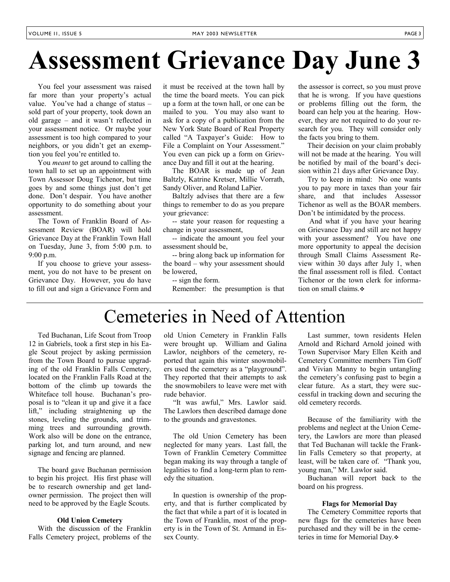# **Assessment Grievance Day June 3**

 You feel your assessment was raised far more than your property's actual value. You've had a change of status – sold part of your property, took down an old garage – and it wasn't reflected in your assessment notice. Or maybe your assessment is too high compared to your neighbors, or you didn't get an exemption you feel you're entitled to.

 You *meant* to get around to calling the town hall to set up an appointment with Town Assessor Doug Tichenor, but time goes by and some things just don't get done. Don't despair. You have another opportunity to do something about your assessment.

 The Town of Franklin Board of Assessment Review (BOAR) will hold Grievance Day at the Franklin Town Hall on Tuesday, June 3, from 5:00 p.m. to 9:00 p.m.

 If you choose to grieve your assessment, you do not have to be present on Grievance Day. However, you do have to fill out and sign a Grievance Form and

it must be received at the town hall by the time the board meets. You can pick up a form at the town hall, or one can be mailed to you. You may also want to ask for a copy of a publication from the New York State Board of Real Property called "A Taxpayer's Guide: How to File a Complaint on Your Assessment." You even can pick up a form on Grievance Day and fill it out at the hearing.

 The BOAR is made up of Jean Baltzly, Katrine Kretser, Millie Vorrath, Sandy Oliver, and Roland LaPier.

 Baltzly advises that there are a few things to remember to do as you prepare your grievance:

 -- state your reason for requesting a change in your assessment,

 -- indicate the amount you feel your assessment should be,

 -- bring along back up information for the board – why your assessment should be lowered,

-- sign the form.

Remember: the presumption is that

the assessor is correct, so you must prove that he is wrong. If you have questions or problems filling out the form, the board can help you at the hearing. However, they are not required to do your research for you. They will consider only the facts you bring to them.

 Their decision on your claim probably will not be made at the hearing. You will be notified by mail of the board's decision within 21 days after Grievance Day.

 Try to keep in mind: No one wants you to pay more in taxes than your fair share, and that includes Assessor Tichenor as well as the BOAR members. Don't be intimidated by the process.

 And what if you have your hearing on Grievance Day and still are not happy with your assessment? You have one more opportunity to appeal the decision through Small Claims Assessment Review within 30 days after July 1, when the final assessment roll is filed. Contact Tichenor or the town clerk for information on small claims.

## Cemeteries in Need of Attention

 Ted Buchanan, Life Scout from Troop 12 in Gabriels, took a first step in his Eagle Scout project by asking permission from the Town Board to pursue upgrading of the old Franklin Falls Cemetery, located on the Franklin Falls Road at the bottom of the climb up towards the Whiteface toll house. Buchanan's proposal is to "clean it up and give it a face lift," including straightening up the stones, leveling the grounds, and trimming trees and surrounding growth. Work also will be done on the entrance, parking lot, and turn around, and new signage and fencing are planned.

 The board gave Buchanan permission to begin his project. His first phase will be to research ownership and get landowner permission. The project then will need to be approved by the Eagle Scouts.

### **Old Union Cemetery**

 With the discussion of the Franklin Falls Cemetery project, problems of the old Union Cemetery in Franklin Falls were brought up. William and Galina Lawlor, neighbors of the cemetery, reported that again this winter snowmobilers used the cemetery as a "playground". They reported that their attempts to ask the snowmobilers to leave were met with rude behavior.

 "It was awful," Mrs. Lawlor said. The Lawlors then described damage done to the grounds and gravestones.

 The old Union Cemetery has been neglected for many years. Last fall, the Town of Franklin Cemetery Committee began making its way through a tangle of legalities to find a long-term plan to remedy the situation.

 In question is ownership of the property, and that is further complicated by the fact that while a part of it is located in the Town of Franklin, most of the property is in the Town of St. Armand in Essex County.

 Last summer, town residents Helen Arnold and Richard Arnold joined with Town Supervisor Mary Ellen Keith and Cemetery Committee members Tim Goff and Vivian Manny to begin untangling the cemetery's confusing past to begin a clear future. As a start, they were successful in tracking down and securing the old cemetery records.

 Because of the familiarity with the problems and neglect at the Union Cemetery, the Lawlors are more than pleased that Ted Buchanan will tackle the Franklin Falls Cemetery so that property, at least, will be taken care of. "Thank you, young man," Mr. Lawlor said.

 Buchanan will report back to the board on his progress.

#### **Flags for Memorial Day**

 The Cemetery Committee reports that new flags for the cemeteries have been purchased and they will be in the cemeteries in time for Memorial Day.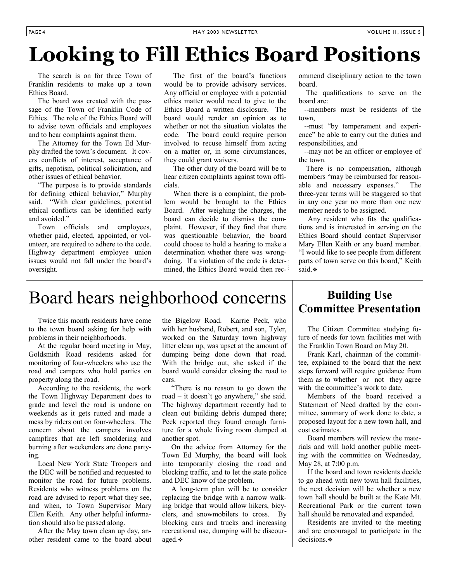# **Looking to Fill Ethics Board Positions**

 The search is on for three Town of Franklin residents to make up a town Ethics Board.

 The board was created with the passage of the Town of Franklin Code of Ethics. The role of the Ethics Board will to advise town officials and employees and to hear complaints against them.

 The Attorney for the Town Ed Murphy drafted the town's document. It covers conflicts of interest, acceptance of gifts, nepotism, political solicitation, and other issues of ethical behavior.

 "The purpose is to provide standards for defining ethical behavior," Murphy said. "With clear guidelines, potential ethical conflicts can be identified early and avoided."

 Town officials and employees, whether paid, elected, appointed, or volunteer, are required to adhere to the code. Highway department employee union issues would not fall under the board's oversight.

 The first of the board's functions would be to provide advisory services. Any official or employee with a potential ethics matter would need to give to the Ethics Board a written disclosure. The board would render an opinion as to whether or not the situation violates the code. The board could require person involved to recuse himself from acting on a matter or, in some circumstances, they could grant waivers.

 The other duty of the board will be to hear citizen complaints against town officials.

 When there is a complaint, the problem would be brought to the Ethics Board. After weighing the charges, the board can decide to dismiss the complaint. However, if they find that there was questionable behavior, the board could choose to hold a hearing to make a determination whether there was wrongdoing. If a violation of the code is determined, the Ethics Board would then recommend disciplinary action to the town board.

 The qualifications to serve on the board are:

 --members must be residents of the town,

 --must "by temperament and experience" be able to carry out the duties and responsibilities, and

 --may not be an officer or employee of the town.

 There is no compensation, although members "may be reimbursed for reasonable and necessary expenses." The three-year terms will be staggered so that in any one year no more than one new member needs to be assigned.

 Any resident who fits the qualifications and is interested in serving on the Ethics Board should contact Supervisor Mary Ellen Keith or any board member. "I would like to see people from different parts of town serve on this board," Keith said.  $\bullet$ 

## Board hears neighborhood concerns **Building Use**

 Twice this month residents have come to the town board asking for help with problems in their neighborhoods.

 At the regular board meeting in May, Goldsmith Road residents asked for monitoring of four-wheelers who use the road and campers who hold parties on property along the road.

 According to the residents, the work the Town Highway Department does to grade and level the road is undone on weekends as it gets rutted and made a mess by riders out on four-wheelers. The concern about the campers involves campfires that are left smoldering and burning after weekenders are done partying.

 Local New York State Troopers and the DEC will be notified and requested to monitor the road for future problems. Residents who witness problems on the road are advised to report what they see, and when, to Town Supervisor Mary Ellen Keith. Any other helpful information should also be passed along.

 After the May town clean up day, another resident came to the board about the Bigelow Road. Karrie Peck, who with her husband, Robert, and son, Tyler, worked on the Saturday town highway litter clean up, was upset at the amount of dumping being done down that road. With the bridge out, she asked if the board would consider closing the road to cars.

 "There is no reason to go down the road – it doesn't go anywhere," she said. The highway department recently had to clean out building debris dumped there; Peck reported they found enough furniture for a whole living room dumped at another spot.

 On the advice from Attorney for the Town Ed Murphy, the board will look into temporarily closing the road and blocking traffic, and to let the state police and DEC know of the problem.

 A long-term plan will be to consider replacing the bridge with a narrow walking bridge that would allow hikers, bicyclers, and snowmobilers to cross. By blocking cars and trucks and increasing recreational use, dumping will be discouraged.

# **Committee Presentation**

 The Citizen Committee studying future of needs for town facilities met with the Franklin Town Board on May 20.

 Frank Karl, chairman of the committee, explained to the board that the next steps forward will require guidance from them as to whether or not they agree with the committee's work to date.

 Members of the board received a Statement of Need drafted by the committee, summary of work done to date, a proposed layout for a new town hall, and cost estimates.

 Board members will review the materials and will hold another public meeting with the committee on Wednesday, May 28, at 7:00 p.m.

 If the board and town residents decide to go ahead with new town hall facilities, the next decision will be whether a new town hall should be built at the Kate Mt. Recreational Park or the current town hall should be renovated and expanded.

 Residents are invited to the meeting and are encouraged to participate in the decisions.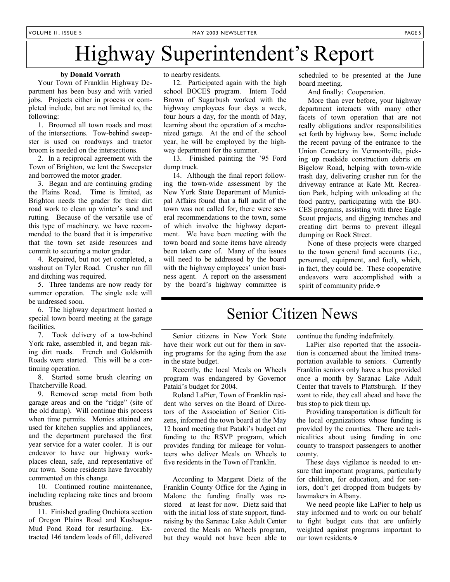## Highway Superintendent's Report

#### **by Donald Vorrath**

 Your Town of Franklin Highway Department has been busy and with varied jobs. Projects either in process or completed include, but are not limited to, the following:

 1. Broomed all town roads and most of the intersections. Tow-behind sweepster is used on roadways and tractor broom is needed on the intersections.

 2. In a reciprocal agreement with the Town of Brighton, we lent the Sweepster and borrowed the motor grader.

 3. Began and are continuing grading the Plains Road. Time is limited, as Brighton needs the grader for their dirt road work to clean up winter's sand and rutting. Because of the versatile use of this type of machinery, we have recommended to the board that it is imperative that the town set aside resources and commit to securing a motor grader.

 4. Repaired, but not yet completed, a washout on Tyler Road. Crusher run fill and ditching was required.

 5. Three tandems are now ready for summer operation. The single axle will be undressed soon.

 6. The highway department hosted a special town board meeting at the garage facilities.

 7. Took delivery of a tow-behind York rake, assembled it, and began raking dirt roads. French and Goldsmith Roads were started. This will be a continuing operation.

 8. Started some brush clearing on Thatcherville Road.

 9. Removed scrap metal from both garage areas and on the "ridge" (site of the old dump). Will continue this process when time permits. Monies attained are used for kitchen supplies and appliances, and the department purchased the first year service for a water cooler. It is our endeavor to have our highway workplaces clean, safe, and representative of our town. Some residents have favorably commented on this change.

 10. Continued routine maintenance, including replacing rake tines and broom brushes.

 11. Finished grading Onchiota section of Oregon Plains Road and Kushaqua-Mud Pond Road for resurfacing. Extracted 146 tandem loads of fill, delivered

to nearby residents.

 12. Participated again with the high school BOCES program. Intern Todd Brown of Sugarbush worked with the highway employees four days a week, four hours a day, for the month of May, learning about the operation of a mechanized garage. At the end of the school year, he will be employed by the highway department for the summer.

 13. Finished painting the '95 Ford dump truck.

 14. Although the final report following the town-wide assessment by the New York State Department of Municipal Affairs found that a full audit of the town was not called for, there were several recommendations to the town, some of which involve the highway department. We have been meeting with the town board and some items have already been taken care of. Many of the issues will need to be addressed by the board with the highway employees' union business agent. A report on the assessment by the board's highway committee is

scheduled to be presented at the June board meeting.

And finally: Cooperation.

 More than ever before, your highway department interacts with many other facets of town operation that are not really obligations and/or responsibilities set forth by highway law. Some include the recent paving of the entrance to the Union Cemetery in Vermontville, picking up roadside construction debris on Bigelow Road, helping with town-wide trash day, delivering crusher run for the driveway entrance at Kate Mt. Recreation Park, helping with unloading at the food pantry, participating with the BO-CES programs, assisting with three Eagle Scout projects, and digging trenches and creating dirt berms to prevent illegal dumping on Rock Street.

 None of these projects were charged to the town general fund accounts (i.e., personnel, equipment, and fuel), which, in fact, they could be. These cooperative endeavors were accomplished with a spirit of community pride.

### Senior Citizen News

 Senior citizens in New York State have their work cut out for them in saving programs for the aging from the axe in the state budget.

 Recently, the local Meals on Wheels program was endangered by Governor Pataki's budget for 2004.

 Roland LaPier, Town of Franklin resident who serves on the Board of Directors of the Association of Senior Citizens, informed the town board at the May 12 board meeting that Pataki's budget cut funding to the RSVP program, which provides funding for mileage for volunteers who deliver Meals on Wheels to five residents in the Town of Franklin.

 According to Margaret Dietz of the Franklin County Office for the Aging in Malone the funding finally was restored – at least for now. Dietz said that with the initial loss of state support, fundraising by the Saranac Lake Adult Center covered the Meals on Wheels program, but they would not have been able to continue the funding indefinitely.

 LaPier also reported that the association is concerned about the limited transportation available to seniors. Currently Franklin seniors only have a bus provided once a month by Saranac Lake Adult Center that travels to Plattsburgh. If they want to ride, they call ahead and have the bus stop to pick them up.

 Providing transportation is difficult for the local organizations whose funding is provided by the counties. There are technicalities about using funding in one county to transport passengers to another county.

 These days vigilance is needed to ensure that important programs, particularly for children, for education, and for seniors, don't get dropped from budgets by lawmakers in Albany.

 We need people like LaPier to help us stay informed and to work on our behalf to fight budget cuts that are unfairly weighted against programs important to our town residents.